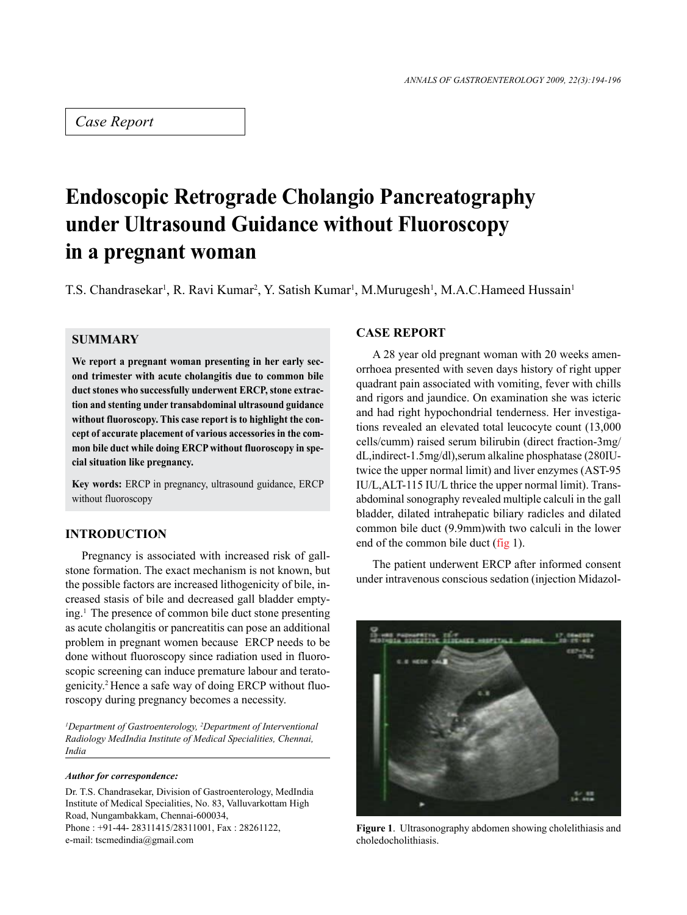## *Case Report*

# **Endoscopic Retrograde Cholangio Pancreatography under Ultrasound Guidance without Fluoroscopy in a pregnant woman**

T.S. Chandrasekar<sup>1</sup>, R. Ravi Kumar<sup>2</sup>, Y. Satish Kumar<sup>1</sup>, M.Murugesh<sup>1</sup>, M.A.C.Hameed Hussain<sup>1</sup>

## **SUMMARY**

**We report a pregnant woman presenting in her early second trimester with acute cholangitis due to common bile duct stones who successfully underwent ERCP, stone extraction and stenting under transabdominal ultrasound guidance without fluoroscopy. This case report is to highlight the concept of accurate placement of various accessories in the common bile duct while doing ERCP without fluoroscopy in special situation like pregnancy.**

**Key words:** ERCP in pregnancy, ultrasound guidance, ERCP without fluoroscopy

## **INTRODUCTION**

Pregnancy is associated with increased risk of gallstone formation. The exact mechanism is not known, but the possible factors are increased lithogenicity of bile, increased stasis of bile and decreased gall bladder emptying.1 The presence of common bile duct stone presenting as acute cholangitis or pancreatitis can pose an additional problem in pregnant women because ERCP needs to be done without fluoroscopy since radiation used in fluoroscopic screening can induce premature labour and teratogenicity.2 Hence a safe way of doing ERCP without fluoroscopy during pregnancy becomes a necessity.

*1 Department of Gastroenterology, 2 Department of Interventional Radiology MedIndia Institute of Medical Specialities, Chennai, India*

#### *Author for correspondence:*

Dr. T.S. Chandrasekar, Division of Gastroenterology, MedIndia Institute of Medical Specialities, No. 83, Valluvarkottam High Road, Nungambakkam, Chennai-600034, Phone : +91-44- 28311415/28311001, Fax : 28261122, e-mail: tscmedindia@gmail.com

### **CASE REPORT**

A 28 year old pregnant woman with 20 weeks amenorrhoea presented with seven days history of right upper quadrant pain associated with vomiting, fever with chills and rigors and jaundice. On examination she was icteric and had right hypochondrial tenderness. Her investigations revealed an elevated total leucocyte count (13,000 cells/cumm) raised serum bilirubin (direct fraction-3mg/ dL,indirect-1.5mg/dl),serum alkaline phosphatase (280IUtwice the upper normal limit) and liver enzymes (AST-95 IU/L,ALT-115 IU/L thrice the upper normal limit). Transabdominal sonography revealed multiple calculi in the gall bladder, dilated intrahepatic biliary radicles and dilated common bile duct (9.9mm)with two calculi in the lower end of the common bile duct (fig 1).

The patient underwent ERCP after informed consent under intravenous conscious sedation (injection Midazol-



**Figure 1**. Ultrasonography abdomen showing cholelithiasis and choledocholithiasis.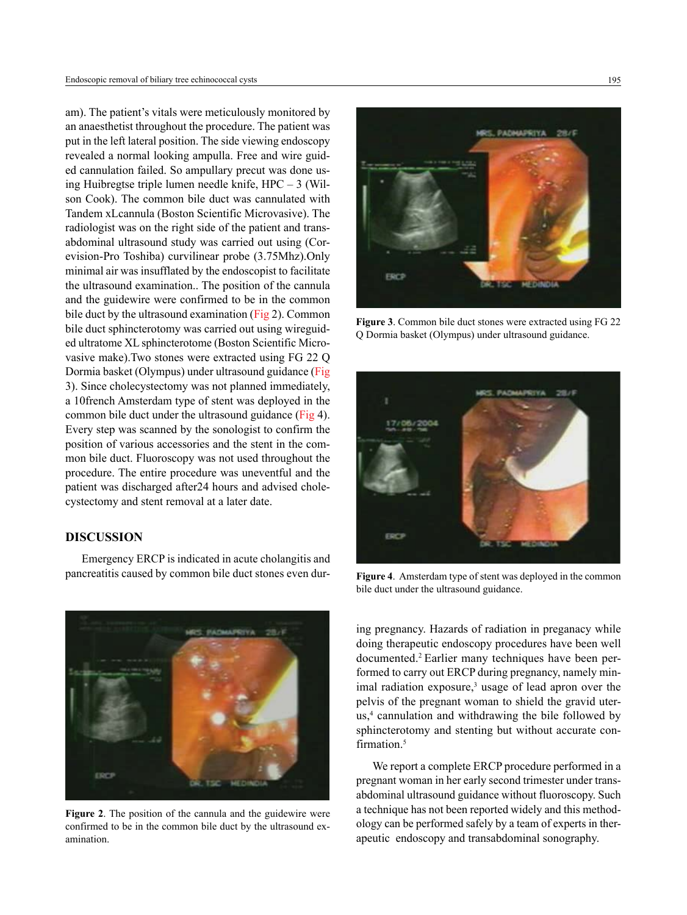am). The patient's vitals were meticulously monitored by an anaesthetist throughout the procedure. The patient was put in the left lateral position. The side viewing endoscopy revealed a normal looking ampulla. Free and wire guided cannulation failed. So ampullary precut was done using Huibregtse triple lumen needle knife, HPC – 3 (Wilson Cook). The common bile duct was cannulated with Tandem xLcannula (Boston Scientific Microvasive). The radiologist was on the right side of the patient and transabdominal ultrasound study was carried out using (Corevision-Pro Toshiba) curvilinear probe (3.75Mhz).Only minimal air was insufflated by the endoscopist to facilitate the ultrasound examination.. The position of the cannula and the guidewire were confirmed to be in the common bile duct by the ultrasound examination (Fig 2). Common bile duct sphincterotomy was carried out using wireguided ultratome XL sphincterotome (Boston Scientific Microvasive make).Two stones were extracted using FG 22 Q Dormia basket (Olympus) under ultrasound guidance (Fig 3). Since cholecystectomy was not planned immediately, a 10french Amsterdam type of stent was deployed in the common bile duct under the ultrasound guidance (Fig 4). Every step was scanned by the sonologist to confirm the position of various accessories and the stent in the common bile duct. Fluoroscopy was not used throughout the procedure. The entire procedure was uneventful and the patient was discharged after24 hours and advised cholecystectomy and stent removal at a later date.

## **DISCUSSION**

Emergency ERCP is indicated in acute cholangitis and pancreatitis caused by common bile duct stones even dur-



**Figure 2**. The position of the cannula and the guidewire were confirmed to be in the common bile duct by the ultrasound examination.



**Figure 3**. Common bile duct stones were extracted using FG 22 Q Dormia basket (Olympus) under ultrasound guidance.



**Figure 4**. Amsterdam type of stent was deployed in the common bile duct under the ultrasound guidance.

ing pregnancy. Hazards of radiation in preganacy while doing therapeutic endoscopy procedures have been well documented.2 Earlier many techniques have been performed to carry out ERCP during pregnancy, namely minimal radiation exposure, $3$  usage of lead apron over the pelvis of the pregnant woman to shield the gravid uterus,<sup>4</sup> cannulation and withdrawing the bile followed by sphincterotomy and stenting but without accurate confirmation.<sup>5</sup>

We report a complete ERCP procedure performed in a pregnant woman in her early second trimester under transabdominal ultrasound guidance without fluoroscopy. Such a technique has not been reported widely and this methodology can be performed safely by a team of experts in therapeutic endoscopy and transabdominal sonography.